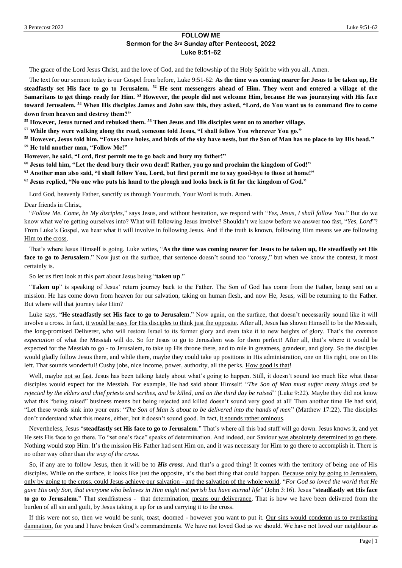# **FOLLOW ME Sermon for the 3rd Sunday after Pentecost, 2022 Luke 9:51-62**

The grace of the Lord Jesus Christ, and the love of God, and the fellowship of the Holy Spirit be with you all. Amen.

The text for our sermon today is our Gospel from before, Luke 9:51-62: **As the time was coming nearer for Jesus to be taken up, He steadfastly set His face to go to Jerusalem. <sup>52</sup> He sent messengers ahead of Him. They went and entered a village of the Samaritans to get things ready for Him. <sup>53</sup> However, the people did not welcome Him, because He was journeying with His face toward Jerusalem. <sup>54</sup> When His disciples James and John saw this, they asked, "Lord, do You want us to command fire to come down from heaven and destroy them?"**

**<sup>55</sup> However, Jesus turned and rebuked them. <sup>56</sup> Then Jesus and His disciples went on to another village.**

**<sup>57</sup> While they were walking along the road, someone told Jesus, "I shall follow You wherever You go."**

**<sup>58</sup> However, Jesus told him, "Foxes have holes, and birds of the sky have nests, but the Son of Man has no place to lay His head." <sup>59</sup> He told another man, "Follow Me!"**

**However, he said, "Lord, first permit me to go back and bury my father!"**

**<sup>60</sup> Jesus told him, "Let the dead bury their own dead! Rather, you go and proclaim the kingdom of God!"**

**<sup>61</sup> Another man also said, "I shall follow You, Lord, but first permit me to say good-bye to those at home!"**

**<sup>62</sup> Jesus replied, "No one who puts his hand to the plough and looks back is fit for the kingdom of God."**

Lord God, heavenly Father, sanctify us through Your truth, Your Word is truth. Amen.

Dear friends in Christ,

"*Follow Me. Come, be My disciples,*" says Jesus, and without hesitation, we respond with "*Yes, Jesus, I shall follow You*." But do we know what we're getting ourselves into? What will following Jesus involve? Shouldn't we know before we answer too fast, "*Yes, Lord*"? From Luke's Gospel, we hear what it will involve in following Jesus. And if the truth is known, following Him means we are following Him to the cross.

That's where Jesus Himself is going. Luke writes, "**As the time was coming nearer for Jesus to be taken up, He steadfastly set His face to go to Jerusalem**." Now just on the surface, that sentence doesn't sound too "crossy," but when we know the context, it most certainly is.

So let us first look at this part about Jesus being "**taken up**."

"**Taken up**" is speaking of Jesus' return journey back to the Father. The Son of God has come from the Father, being sent on a mission. He has come down from heaven for our salvation, taking on human flesh, and now He, Jesus, will be returning to the Father. But where will that journey take Him?

Luke says, "**He steadfastly set His face to go to Jerusalem**." Now again, on the surface, that doesn't necessarily sound like it will involve a cross. In fact, it would be easy for His disciples to think just the opposite. After all, Jesus has shown Himself to be the Messiah, the long-promised Deliverer, who will restore Israel to its former glory and even take it to new heights of glory. That's the *common expectation* of what the Messiah will do. So for Jesus to go to Jerusalem was for them perfect! After all, that's where it would be expected for the Messiah to go - to Jerusalem, to take up His throne there, and to rule in greatness, grandeur, and glory. So the disciples would gladly follow Jesus there, and while there, maybe they could take up positions in His administration, one on His right, one on His left. That sounds wonderful! Cushy jobs, nice income, power, authority, all the perks. How good is that!

Well, maybe not so fast. Jesus has been talking lately about what's going to happen. Still, it doesn't sound too much like what those disciples would expect for the Messiah. For example, He had said about Himself: "*The Son of Man must suffer many things and be rejected by the elders and chief priests and scribes, and be killed, and on the third day be raised*" (Luke 9:22). Maybe they did not know what this "being raised" business means but being rejected and killed doesn't sound very good at all! Then another time He had said, "Let these words sink into your ears: "*The Son of Man is about to be delivered into the hands of men*" (Matthew 17:22). The disciples don't understand what this means, either, but it doesn't sound good. In fact, it sounds rather ominous.

Nevertheless, Jesus "**steadfastly set His face to go to Jerusalem**." That's where all this bad stuff will go down. Jesus knows it, and yet He sets His face to go there. To "set one's face" speaks of determination. And indeed, our Saviour was absolutely determined to go there. Nothing would stop Him. It's the mission His Father had sent Him on, and it was necessary for Him to go there to accomplish it. There is no other way other than *the way of the cross*.

So, if any are to follow Jesus, then it will be to *His cross*. And that's a good thing! It comes with the territory of being one of His disciples. While on the surface, it looks like just the opposite, it's the best thing that could happen. Because only by going to Jerusalem, only by going to the cross, could Jesus achieve our salvation - and the salvation of the whole world. "*For God so loved the world that He gave His only Son, that everyone who believes in Him might not perish but have eternal life*" (John 3:16). Jesus "**steadfastly set His face to go to Jerusalem**." That steadfastness - that determination, means our deliverance. That is how we have been delivered from the burden of all sin and guilt, by Jesus taking it up for us and carrying it to the cross.

If this were not so, then we would be sunk, toast, doomed - however you want to put it. Our sins would condemn us to everlasting damnation, for you and I have broken God's commandments. We have not loved God as we should. We have not loved our neighbour as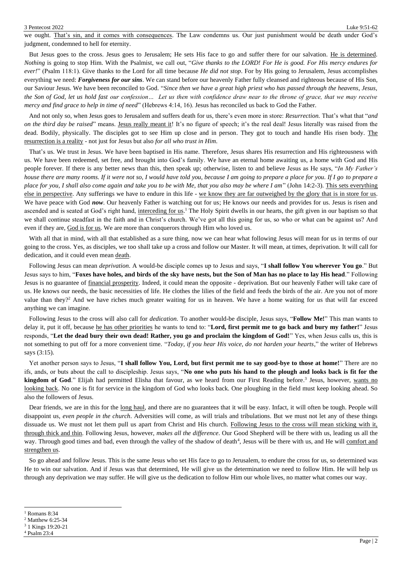we ought. That's sin, and it comes with consequences. The Law condemns us. Our just punishment would be death under God's judgment, condemned to hell for eternity.

But Jesus goes to the cross. Jesus goes to Jerusalem; He sets His face to go and suffer there for our salvation. He is determined. *Nothing* is going to stop Him. With the Psalmist, we call out, "*Give thanks to the LORD! For He is good. For His mercy endures for ever!*" (Psalm 118:1). Give thanks to the Lord for all time because *He did not stop*. For by His going to Jerusalem, Jesus accomplishes everything we need: *Forgiveness for our sins*. We can stand before our heavenly Father fully cleansed and righteous because of His Son, our Saviour Jesus. We have been reconciled to God. "*Since then we have a great high priest who has passed through the heavens, Jesus, the Son of God, let us hold fast our confession… Let us then with confidence draw near to the throne of grace, that we may receive mercy and find grace to help in time of need*" (Hebrews 4:14, 16). Jesus has reconciled us back to God the Father.

And not only so, when Jesus goes to Jerusalem and suffers death for us, there's even more in store: *Resurrection.* That's what that "*and on the third day be raised*" means. Jesus really meant it! It's no figure of speech; it's the real deal! Jesus literally was raised from the dead. Bodily, physically. The disciples got to see Him up close and in person. They got to touch and handle His risen body. The resurrection is a reality - not just for Jesus but also *for all who trust in Him*.

That's us. We trust in Jesus. We have been baptised in His name. Therefore, Jesus shares His resurrection and His righteousness with us. We have been redeemed, set free, and brought into God's family. We have an eternal home awaiting us, a home with God and His people forever. If there is any better news than this, then speak up; otherwise, listen to and believe Jesus as He says, "*In My Father's house there are many rooms. If it were not so, I would have told you, because I am going to prepare a place for you. If I go to prepare a place for you, I shall also come again and take you to be with Me, that you also may be where I am*" (John 14:2-3). This sets everything else in perspective. Any sufferings we have to endure in this life - we know they are far outweighed by the glory that is in store for us. We have peace with God *now*. Our heavenly Father is watching out for us; He knows our needs and provides for us. Jesus is risen and ascended and is seated at God's right hand, interceding for us.<sup>1</sup> The Holy Spirit dwells in our hearts, the gift given in our baptism so that we shall continue steadfast in the faith and in Christ's church. We've got all this going for us, so who or what can be against us? And even if they are, God is for us. We are more than conquerors through Him who loved us.

With all that in mind, with all that established as a sure thing, now we can hear what following Jesus will mean for us in terms of our going to the cross. Yes, as disciples, we too shall take up a cross and follow our Master. It will mean, at times, deprivation. It will call for dedication, and it could even mean death.

Following Jesus can mean *deprivation*. A would-be disciple comes up to Jesus and says, "**I shall follow You wherever You go**." But Jesus says to him, "**Foxes have holes, and birds of the sky have nests, but the Son of Man has no place to lay His head**." Following Jesus is no guarantee of financial prosperity. Indeed, it could mean the opposite - deprivation. But our heavenly Father will take care of us. He knows our needs, the basic necessities of life. He clothes the lilies of the field and feeds the birds of the air. Are you not of more value than they?<sup>2</sup> And we have riches much greater waiting for us in heaven. We have a home waiting for us that will far exceed anything we can imagine.

Following Jesus to the cross will also call for *dedication*. To another would-be disciple, Jesus says, "**Follow Me!**" This man wants to delay it, put it off, because he has other priorities he wants to tend to: "**Lord, first permit me to go back and bury my father!**" Jesus responds, "**Let the dead bury their own dead! Rather, you go and proclaim the kingdom of God!**" Yes, when Jesus calls us, this is not something to put off for a more convenient time. "*Today, if you hear His voice, do not harden your hearts,*" the writer of Hebrews says (3:15).

Yet another person says to Jesus, "**I shall follow You, Lord, but first permit me to say good-bye to those at home!**" There are no ifs, ands, or buts about the call to discipleship. Jesus says, "**No one who puts his hand to the plough and looks back is fit for the**  kingdom of God." Elijah had permitted Elisha that favour, as we heard from our First Reading before.<sup>3</sup> Jesus, however, wants no looking back. No one is fit for service in the kingdom of God who looks back. One ploughing in the field must keep looking ahead. So also the followers of Jesus.

Dear friends, we are in this for the long haul, and there are no guarantees that it will be easy. Infact, it will often be tough. People will disappoint us, *even people in the church*. Adversities will come, as will trials and tribulations. But we must not let any of these things dissuade us. We must not let them pull us apart from Christ and His church. Following Jesus to the cross will mean sticking with it, through thick and thin. Following Jesus, however, *makes all the difference*. Our Good Shepherd will be there with us, leading us all the way. Through good times and bad, even through the valley of the shadow of death<sup>4</sup>, Jesus will be there with us, and He will comfort and strengthen us.

So go ahead and follow Jesus. This is the same Jesus who set His face to go to Jerusalem, to endure the cross for us, so determined was He to win our salvation. And if Jesus was that determined, He will give us the determination we need to follow Him. He will help us through any deprivation we may suffer. He will give us the dedication to follow Him our whole lives, no matter what comes our way.

<sup>&</sup>lt;sup>1</sup> Romans 8:34

<sup>2</sup> Matthew 6:25-34

<sup>3</sup> 1 Kings 19:20-21

<sup>4</sup> Psalm 23:4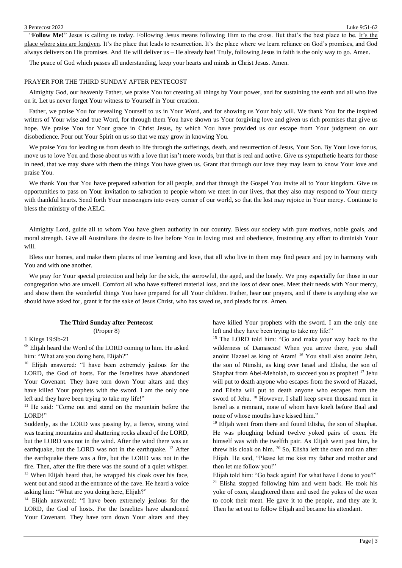"**Follow Me!**" Jesus is calling us today. Following Jesus means following Him to the cross. But that's the best place to be. It's the place where sins are forgiven. It's the place that leads to resurrection. It's the place where we learn reliance on God's promises, and God always delivers on His promises. And He will deliver us – He already has! Truly, following Jesus in faith is the only way to go. Amen.

The peace of God which passes all understanding, keep your hearts and minds in Christ Jesus. Amen.

### PRAYER FOR THE THIRD SUNDAY AFTER PENTECOST

Almighty God, our heavenly Father, we praise You for creating all things by Your power, and for sustaining the earth and all who live on it. Let us never forget Your witness to Yourself in Your creation.

Father, we praise You for revealing Yourself to us in Your Word, and for showing us Your holy will. We thank You for the inspired writers of Your wise and true Word, for through them You have shown us Your forgiving love and given us rich promises that give us hope. We praise You for Your grace in Christ Jesus, by which You have provided us our escape from Your judgment on our disobedience. Pour out Your Spirit on us so that we may grow in knowing You.

We praise You for leading us from death to life through the sufferings, death, and resurrection of Jesus, Your Son. By Your love for us, move us to love You and those about us with a love that isn't mere words, but that is real and active. Give us sympathetic hearts for those in need, that we may share with them the things You have given us. Grant that through our love they may learn to know Your love and praise You.

We thank You that You have prepared salvation for all people, and that through the Gospel You invite all to Your kingdom. Give us opportunities to pass on Your invitation to salvation to people whom we meet in our lives, that they also may respond to Your mercy with thankful hearts. Send forth Your messengers into every corner of our world, so that the lost may rejoice in Your mercy. Continue to bless the ministry of the AELC.

Almighty Lord, guide all to whom You have given authority in our country. Bless our society with pure motives, noble goals, and moral strength. Give all Australians the desire to live before You in loving trust and obedience, frustrating any effort to diminish Your will.

Bless our homes, and make them places of true learning and love, that all who live in them may find peace and joy in harmony with You and with one another.

We pray for Your special protection and help for the sick, the sorrowful, the aged, and the lonely. We pray especially for those in our congregation who are unwell. Comfort all who have suffered material loss, and the loss of dear ones. Meet their needs with Your mercy, and show them the wonderful things You have prepared for all Your children. Father, hear our prayers, and if there is anything else we should have asked for, grant it for the sake of Jesus Christ, who has saved us, and pleads for us. Amen.

### **The Third Sunday after Pentecost**  (Proper 8)

1 Kings 19:9b-21

<sup>9b</sup> Elijah heard the Word of the LORD coming to him. He asked him: "What are you doing here, Elijah?"

<sup>10</sup> Elijah answered: "I have been extremely jealous for the LORD, the God of hosts. For the Israelites have abandoned Your Covenant. They have torn down Your altars and they have killed Your prophets with the sword. I am the only one left and they have been trying to take my life!"

<sup>11</sup> He said: "Come out and stand on the mountain before the LORD!"

Suddenly, as the LORD was passing by, a fierce, strong wind was tearing mountains and shattering rocks ahead of the LORD, but the LORD was not in the wind. After the wind there was an earthquake, but the LORD was not in the earthquake. <sup>12</sup> After the earthquake there was a fire, but the LORD was not in the fire. Then, after the fire there was the sound of a quiet whisper.  $13$  When Elijah heard that, he wrapped his cloak over his face, went out and stood at the entrance of the cave. He heard a voice asking him: "What are you doing here, Elijah?"

<sup>14</sup> Elijah answered: "I have been extremely jealous for the LORD, the God of hosts. For the Israelites have abandoned Your Covenant. They have torn down Your altars and they

have killed Your prophets with the sword. I am the only one left and they have been trying to take my life!"

<sup>15</sup> The LORD told him: "Go and make your way back to the wilderness of Damascus! When you arrive there, you shall anoint Hazael as king of Aram! <sup>16</sup> You shall also anoint Jehu, the son of Nimshi, as king over Israel and Elisha, the son of Shaphat from Abel-Meholah, to succeed you as prophet!<sup>17</sup> Jehu will put to death anyone who escapes from the sword of Hazael, and Elisha will put to death anyone who escapes from the sword of Jehu. <sup>18</sup> However, I shall keep seven thousand men in Israel as a remnant, none of whom have knelt before Baal and none of whose mouths have kissed him."

<sup>19</sup> Elijah went from there and found Elisha, the son of Shaphat. He was ploughing behind twelve yoked pairs of oxen. He himself was with the twelfth pair. As Elijah went past him, he threw his cloak on him. <sup>20</sup> So, Elisha left the oxen and ran after Elijah. He said, "Please let me kiss my father and mother and then let me follow you!"

Elijah told him: "Go back again! For what have I done to you?"  $21$  Elisha stopped following him and went back. He took his yoke of oxen, slaughtered them and used the yokes of the oxen to cook their meat. He gave it to the people, and they ate it. Then he set out to follow Elijah and became his attendant.